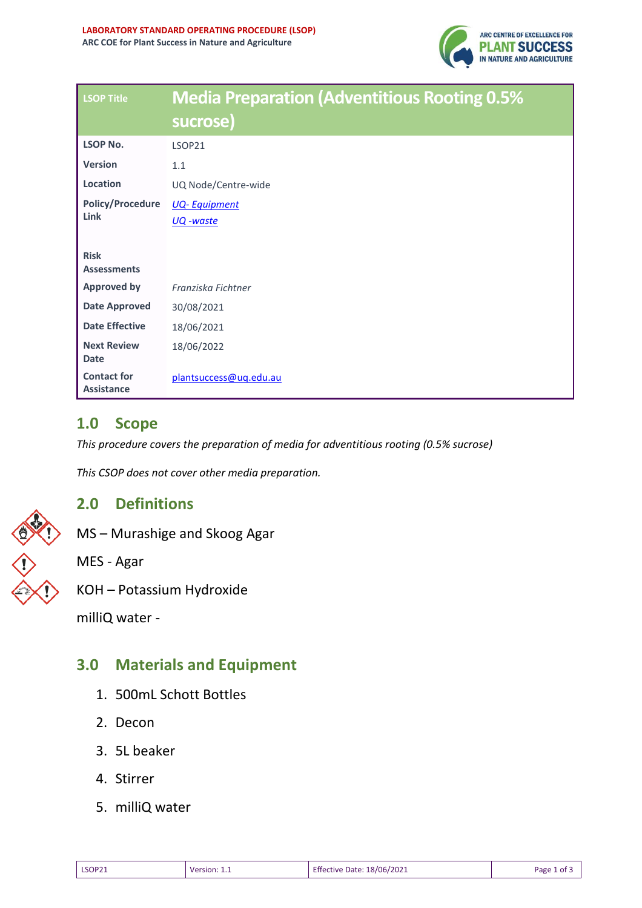

| <b>LSOP Title</b>                       | <b>Media Preparation (Adventitious Rooting 0.5%</b> |  |  |
|-----------------------------------------|-----------------------------------------------------|--|--|
|                                         | sucrose)                                            |  |  |
| <b>LSOP No.</b>                         | <b>LSOP21</b>                                       |  |  |
| <b>Version</b>                          | 1.1                                                 |  |  |
| Location                                | UQ Node/Centre-wide                                 |  |  |
| <b>Policy/Procedure</b><br>Link         | <b>UQ-Equipment</b><br><u>UQ -waste</u>             |  |  |
| <b>Risk</b><br><b>Assessments</b>       |                                                     |  |  |
| <b>Approved by</b>                      | Franziska Fichtner                                  |  |  |
| <b>Date Approved</b>                    | 30/08/2021                                          |  |  |
| <b>Date Effective</b>                   | 18/06/2021                                          |  |  |
| <b>Next Review</b><br>Date              | 18/06/2022                                          |  |  |
| <b>Contact for</b><br><b>Assistance</b> | plantsuccess@uq.edu.au                              |  |  |

### **1.0 Scope**

*This procedure covers the preparation of media for adventitious rooting (0.5% sucrose)*

*This CSOP does not cover other media preparation.*

### **2.0 Definitions**

MS – Murashige and Skoog Agar

MES - Agar

tassium Hydroxide

ter -

## **3.0 Materials and Equipment**

- 1. 500mL Schott Bottles
- 2. Decon
- 3. 5L beaker
- 4. Stirrer
- 5. milliQ water

| 3.0 Ma     |  |
|------------|--|
| milliQ wat |  |
| KOH – Pot  |  |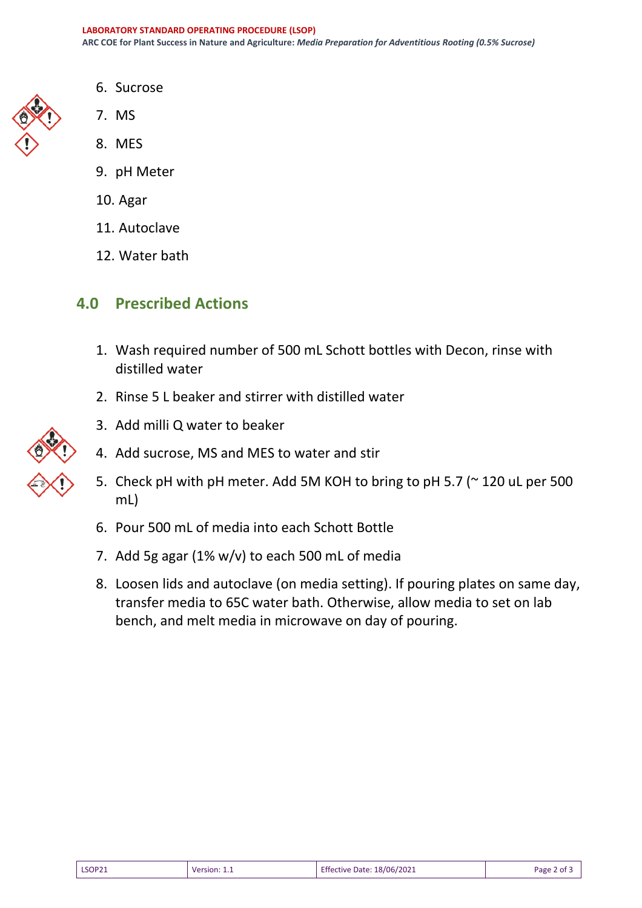

- 6. Sucrose
- 7. MS
- 8. MES
- 9. pH Meter
- 10. Agar
- 11. Autoclave
- 12. Water bath

## **4.0 Prescribed Actions**

- 1. Wash required number of 500 mL Schott bottles with Decon, rinse with distilled water
- 2. Rinse 5 L beaker and stirrer with distilled water



- 3. Add milli Q water to beaker
- 4. Add sucrose, MS and MES to water and stir
- 5. Check pH with pH meter. Add 5M KOH to bring to pH 5.7 (~ 120 uL per 500 mL)
- 6. Pour 500 mL of media into each Schott Bottle
- 7. Add 5g agar (1% w/v) to each 500 mL of media
- 8. Loosen lids and autoclave (on media setting). If pouring plates on same day, transfer media to 65C water bath. Otherwise, allow media to set on lab bench, and melt media in microwave on day of pouring.

| LSOP21 | Version: | <b>Effective Date: 18/06/2021</b> | Page 2 of L |
|--------|----------|-----------------------------------|-------------|
|        |          |                                   |             |